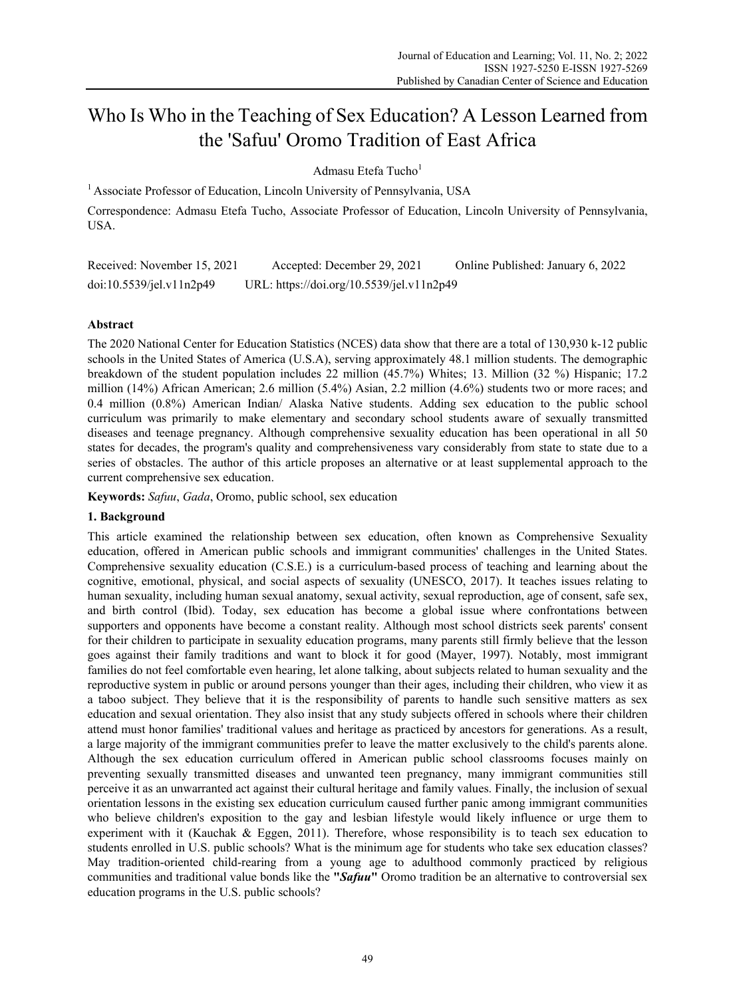# Who Is Who in the Teaching of Sex Education? A Lesson Learned from the 'Safuu' Oromo Tradition of East Africa

Admasu Etefa Tucho<sup>1</sup>

<sup>1</sup> Associate Professor of Education, Lincoln University of Pennsylvania, USA

Correspondence: Admasu Etefa Tucho, Associate Professor of Education, Lincoln University of Pennsylvania, **USA** 

Received: November 15, 2021 Accepted: December 29, 2021 Online Published: January 6, 2022 doi:10.5539/jel.v11n2p49 URL: https://doi.org/10.5539/jel.v11n2p49

# **Abstract**

The 2020 National Center for Education Statistics (NCES) data show that there are a total of 130,930 k-12 public schools in the United States of America (U.S.A), serving approximately 48.1 million students. The demographic breakdown of the student population includes 22 million (45.7%) Whites; 13. Million (32 %) Hispanic; 17.2 million (14%) African American; 2.6 million (5.4%) Asian, 2.2 million (4.6%) students two or more races; and 0.4 million (0.8%) American Indian/ Alaska Native students. Adding sex education to the public school curriculum was primarily to make elementary and secondary school students aware of sexually transmitted diseases and teenage pregnancy. Although comprehensive sexuality education has been operational in all 50 states for decades, the program's quality and comprehensiveness vary considerably from state to state due to a series of obstacles. The author of this article proposes an alternative or at least supplemental approach to the current comprehensive sex education.

**Keywords:** *Safuu*, *Gada*, Oromo, public school, sex education

# **1. Background**

This article examined the relationship between sex education, often known as Comprehensive Sexuality education, offered in American public schools and immigrant communities' challenges in the United States. Comprehensive sexuality education (C.S.E.) is a curriculum-based process of teaching and learning about the cognitive, emotional, physical, and social aspects of sexuality (UNESCO, 2017). It teaches issues relating to human sexuality, including human sexual anatomy, sexual activity, sexual reproduction, age of consent, safe sex, and birth control (Ibid). Today, sex education has become a global issue where confrontations between supporters and opponents have become a constant reality. Although most school districts seek parents' consent for their children to participate in sexuality education programs, many parents still firmly believe that the lesson goes against their family traditions and want to block it for good (Mayer, 1997). Notably, most immigrant families do not feel comfortable even hearing, let alone talking, about subjects related to human sexuality and the reproductive system in public or around persons younger than their ages, including their children, who view it as a taboo subject. They believe that it is the responsibility of parents to handle such sensitive matters as sex education and sexual orientation. They also insist that any study subjects offered in schools where their children attend must honor families' traditional values and heritage as practiced by ancestors for generations. As a result, a large majority of the immigrant communities prefer to leave the matter exclusively to the child's parents alone. Although the sex education curriculum offered in American public school classrooms focuses mainly on preventing sexually transmitted diseases and unwanted teen pregnancy, many immigrant communities still perceive it as an unwarranted act against their cultural heritage and family values. Finally, the inclusion of sexual orientation lessons in the existing sex education curriculum caused further panic among immigrant communities who believe children's exposition to the gay and lesbian lifestyle would likely influence or urge them to experiment with it (Kauchak & Eggen, 2011). Therefore, whose responsibility is to teach sex education to students enrolled in U.S. public schools? What is the minimum age for students who take sex education classes? May tradition-oriented child-rearing from a young age to adulthood commonly practiced by religious communities and traditional value bonds like the **"***Safuu***"** Oromo tradition be an alternative to controversial sex education programs in the U.S. public schools?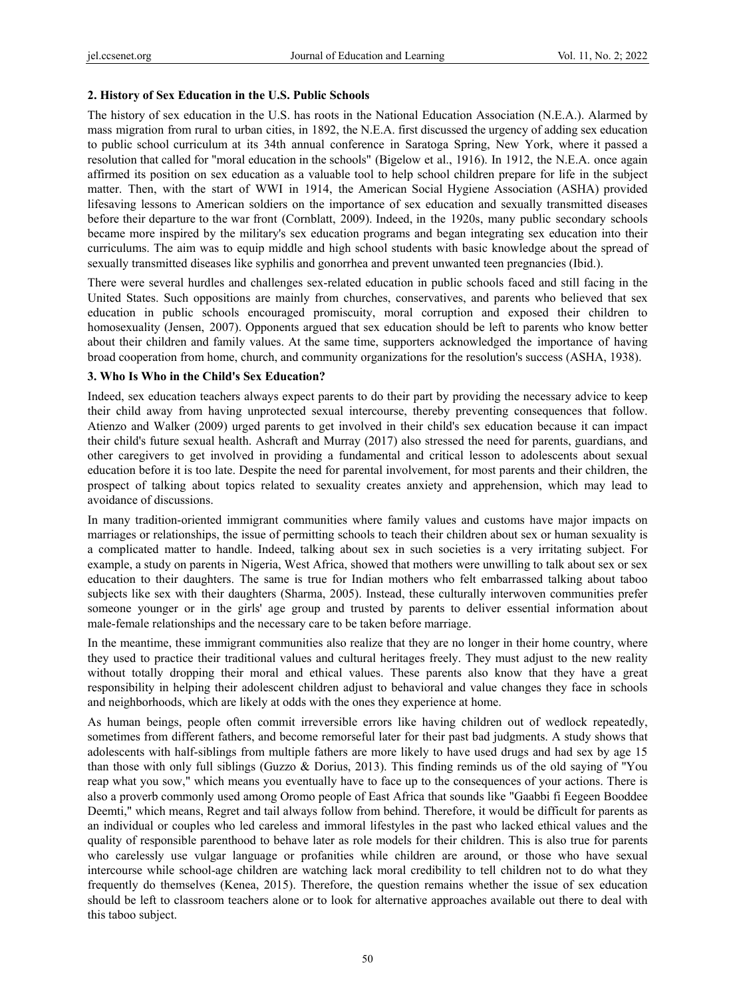## **2. History of Sex Education in the U.S. Public Schools**

The history of sex education in the U.S. has roots in the National Education Association (N.E.A.). Alarmed by mass migration from rural to urban cities, in 1892, the N.E.A. first discussed the urgency of adding sex education to public school curriculum at its 34th annual conference in Saratoga Spring, New York, where it passed a resolution that called for "moral education in the schools" (Bigelow et al., 1916). In 1912, the N.E.A. once again affirmed its position on sex education as a valuable tool to help school children prepare for life in the subject matter. Then, with the start of WWI in 1914, the American Social Hygiene Association (ASHA) provided lifesaving lessons to American soldiers on the importance of sex education and sexually transmitted diseases before their departure to the war front (Cornblatt, 2009). Indeed, in the 1920s, many public secondary schools became more inspired by the military's sex education programs and began integrating sex education into their curriculums. The aim was to equip middle and high school students with basic knowledge about the spread of sexually transmitted diseases like syphilis and gonorrhea and prevent unwanted teen pregnancies (Ibid.).

There were several hurdles and challenges sex-related education in public schools faced and still facing in the United States. Such oppositions are mainly from churches, conservatives, and parents who believed that sex education in public schools encouraged promiscuity, moral corruption and exposed their children to homosexuality (Jensen, 2007). Opponents argued that sex education should be left to parents who know better about their children and family values. At the same time, supporters acknowledged the importance of having broad cooperation from home, church, and community organizations for the resolution's success (ASHA, 1938).

## **3. Who Is Who in the Child's Sex Education?**

Indeed, sex education teachers always expect parents to do their part by providing the necessary advice to keep their child away from having unprotected sexual intercourse, thereby preventing consequences that follow. Atienzo and Walker (2009) urged parents to get involved in their child's sex education because it can impact their child's future sexual health. Ashcraft and Murray (2017) also stressed the need for parents, guardians, and other caregivers to get involved in providing a fundamental and critical lesson to adolescents about sexual education before it is too late. Despite the need for parental involvement, for most parents and their children, the prospect of talking about topics related to sexuality creates anxiety and apprehension, which may lead to avoidance of discussions.

In many tradition-oriented immigrant communities where family values and customs have major impacts on marriages or relationships, the issue of permitting schools to teach their children about sex or human sexuality is a complicated matter to handle. Indeed, talking about sex in such societies is a very irritating subject. For example, a study on parents in Nigeria, West Africa, showed that mothers were unwilling to talk about sex or sex education to their daughters. The same is true for Indian mothers who felt embarrassed talking about taboo subjects like sex with their daughters (Sharma, 2005). Instead, these culturally interwoven communities prefer someone younger or in the girls' age group and trusted by parents to deliver essential information about male-female relationships and the necessary care to be taken before marriage.

In the meantime, these immigrant communities also realize that they are no longer in their home country, where they used to practice their traditional values and cultural heritages freely. They must adjust to the new reality without totally dropping their moral and ethical values. These parents also know that they have a great responsibility in helping their adolescent children adjust to behavioral and value changes they face in schools and neighborhoods, which are likely at odds with the ones they experience at home.

As human beings, people often commit irreversible errors like having children out of wedlock repeatedly, sometimes from different fathers, and become remorseful later for their past bad judgments. A study shows that adolescents with half-siblings from multiple fathers are more likely to have used drugs and had sex by age 15 than those with only full siblings (Guzzo & Dorius, 2013). This finding reminds us of the old saying of "You reap what you sow," which means you eventually have to face up to the consequences of your actions. There is also a proverb commonly used among Oromo people of East Africa that sounds like "Gaabbi fi Eegeen Booddee Deemti," which means, Regret and tail always follow from behind. Therefore, it would be difficult for parents as an individual or couples who led careless and immoral lifestyles in the past who lacked ethical values and the quality of responsible parenthood to behave later as role models for their children. This is also true for parents who carelessly use vulgar language or profanities while children are around, or those who have sexual intercourse while school-age children are watching lack moral credibility to tell children not to do what they frequently do themselves (Kenea, 2015). Therefore, the question remains whether the issue of sex education should be left to classroom teachers alone or to look for alternative approaches available out there to deal with this taboo subject.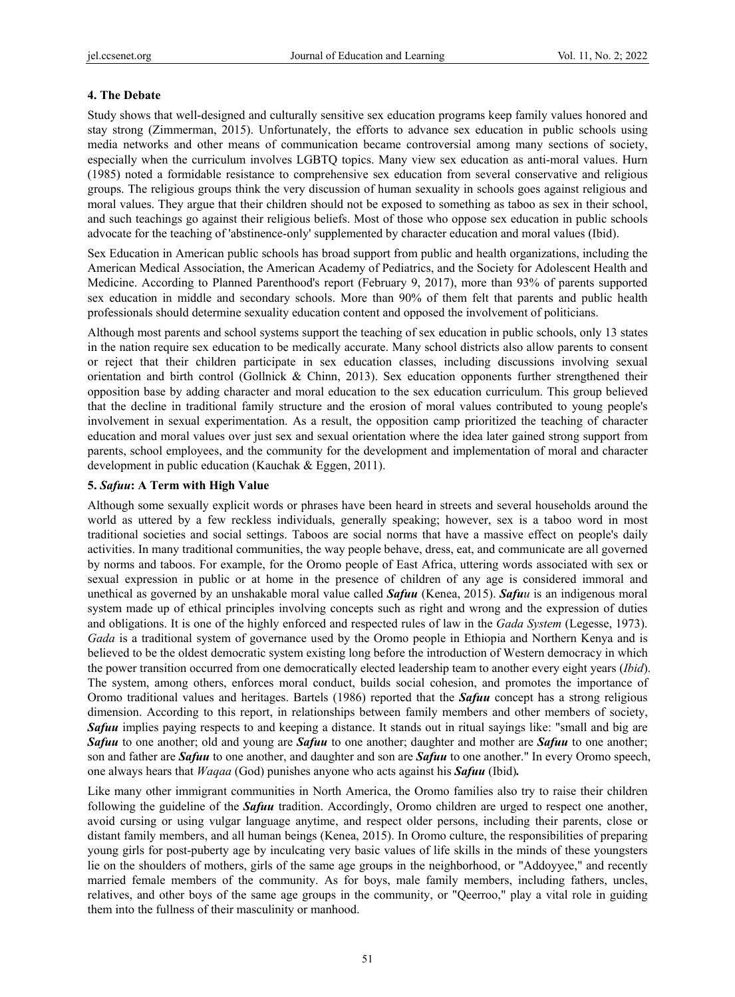## **4. The Debate**

Study shows that well-designed and culturally sensitive sex education programs keep family values honored and stay strong (Zimmerman, 2015). Unfortunately, the efforts to advance sex education in public schools using media networks and other means of communication became controversial among many sections of society, especially when the curriculum involves LGBTQ topics. Many view sex education as anti-moral values. Hurn (1985) noted a formidable resistance to comprehensive sex education from several conservative and religious groups. The religious groups think the very discussion of human sexuality in schools goes against religious and moral values. They argue that their children should not be exposed to something as taboo as sex in their school, and such teachings go against their religious beliefs. Most of those who oppose sex education in public schools advocate for the teaching of 'abstinence-only' supplemented by character education and moral values (Ibid).

Sex Education in American public schools has broad support from public and health organizations, including the American Medical Association, the American Academy of Pediatrics, and the Society for Adolescent Health and Medicine. According to Planned Parenthood's report (February 9, 2017), more than 93% of parents supported sex education in middle and secondary schools. More than 90% of them felt that parents and public health professionals should determine sexuality education content and opposed the involvement of politicians.

Although most parents and school systems support the teaching of sex education in public schools, only 13 states in the nation require sex education to be medically accurate. Many school districts also allow parents to consent or reject that their children participate in sex education classes, including discussions involving sexual orientation and birth control (Gollnick & Chinn, 2013). Sex education opponents further strengthened their opposition base by adding character and moral education to the sex education curriculum. This group believed that the decline in traditional family structure and the erosion of moral values contributed to young people's involvement in sexual experimentation. As a result, the opposition camp prioritized the teaching of character education and moral values over just sex and sexual orientation where the idea later gained strong support from parents, school employees, and the community for the development and implementation of moral and character development in public education (Kauchak & Eggen, 2011).

## **5.** *Safuu***: A Term with High Value**

Although some sexually explicit words or phrases have been heard in streets and several households around the world as uttered by a few reckless individuals, generally speaking; however, sex is a taboo word in most traditional societies and social settings. Taboos are social norms that have a massive effect on people's daily activities. In many traditional communities, the way people behave, dress, eat, and communicate are all governed by norms and taboos. For example, for the Oromo people of East Africa, uttering words associated with sex or sexual expression in public or at home in the presence of children of any age is considered immoral and unethical as governed by an unshakable moral value called *Safuu* (Kenea, 2015). *Safuu* is an indigenous moral system made up of ethical principles involving concepts such as right and wrong and the expression of duties and obligations. It is one of the highly enforced and respected rules of law in the *Gada System* (Legesse, 1973). *Gada* is a traditional system of governance used by the Oromo people in Ethiopia and Northern Kenya and is believed to be the oldest democratic system existing long before the introduction of Western democracy in which the power transition occurred from one democratically elected leadership team to another every eight years (*Ibid*). The system, among others, enforces moral conduct, builds social cohesion, and promotes the importance of Oromo traditional values and heritages. Bartels (1986) reported that the *Safuu* concept has a strong religious dimension. According to this report, in relationships between family members and other members of society, *Safuu* implies paying respects to and keeping a distance. It stands out in ritual sayings like: "small and big are *Safuu* to one another; old and young are *Safuu* to one another; daughter and mother are *Safuu* to one another; son and father are *Safuu* to one another, and daughter and son are *Safuu* to one another." In every Oromo speech, one always hears that *Waqaa* (God) punishes anyone who acts against his *Safuu* (Ibid)*.*

Like many other immigrant communities in North America, the Oromo families also try to raise their children following the guideline of the *Safuu* tradition. Accordingly, Oromo children are urged to respect one another, avoid cursing or using vulgar language anytime, and respect older persons, including their parents, close or distant family members, and all human beings (Kenea, 2015). In Oromo culture, the responsibilities of preparing young girls for post-puberty age by inculcating very basic values of life skills in the minds of these youngsters lie on the shoulders of mothers, girls of the same age groups in the neighborhood, or "Addoyyee," and recently married female members of the community. As for boys, male family members, including fathers, uncles, relatives, and other boys of the same age groups in the community, or "Qeerroo," play a vital role in guiding them into the fullness of their masculinity or manhood.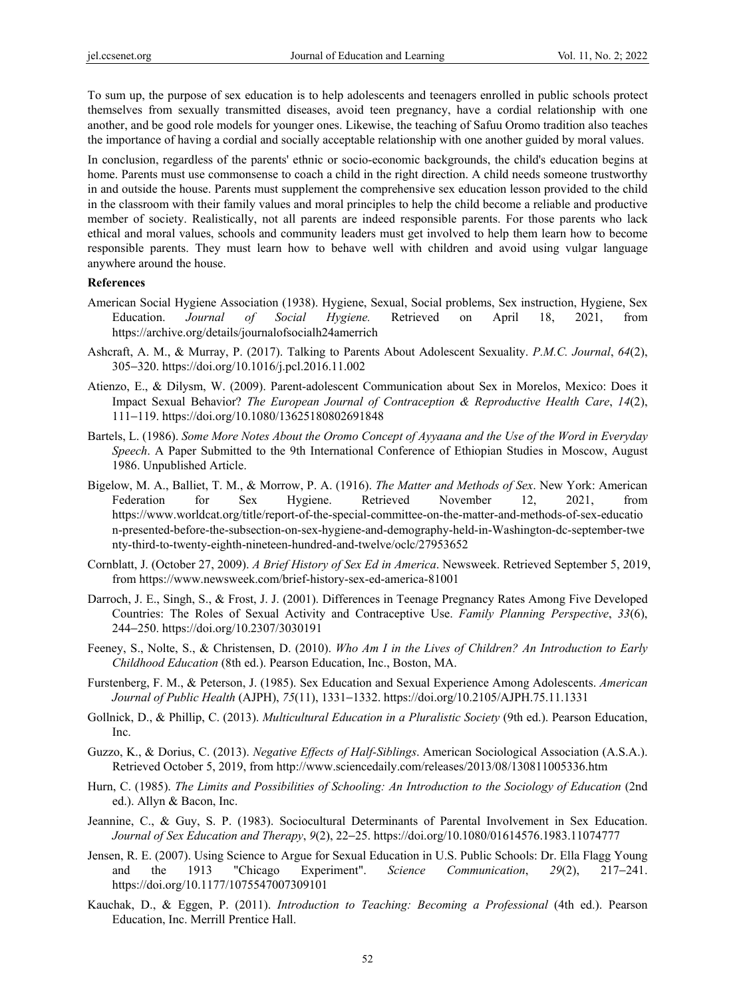To sum up, the purpose of sex education is to help adolescents and teenagers enrolled in public schools protect themselves from sexually transmitted diseases, avoid teen pregnancy, have a cordial relationship with one another, and be good role models for younger ones. Likewise, the teaching of Safuu Oromo tradition also teaches the importance of having a cordial and socially acceptable relationship with one another guided by moral values.

In conclusion, regardless of the parents' ethnic or socio-economic backgrounds, the child's education begins at home. Parents must use commonsense to coach a child in the right direction. A child needs someone trustworthy in and outside the house. Parents must supplement the comprehensive sex education lesson provided to the child in the classroom with their family values and moral principles to help the child become a reliable and productive member of society. Realistically, not all parents are indeed responsible parents. For those parents who lack ethical and moral values, schools and community leaders must get involved to help them learn how to become responsible parents. They must learn how to behave well with children and avoid using vulgar language anywhere around the house.

#### **References**

- American Social Hygiene Association (1938). Hygiene, Sexual, Social problems, Sex instruction, Hygiene, Sex Education. *Journal of Social Hygiene.* Retrieved on April 18, 2021, from https://archive.org/details/journalofsocialh24amerrich
- Ashcraft, A. M., & Murray, P. (2017). Talking to Parents About Adolescent Sexuality. *P.M.C. Journal*, *64*(2), 305−320. https://doi.org/10.1016/j.pcl.2016.11.002
- Atienzo, E., & Dilysm, W. (2009). Parent-adolescent Communication about Sex in Morelos, Mexico: Does it Impact Sexual Behavior? *The European Journal of Contraception & Reproductive Health Care*, *14*(2), 111−119. https://doi.org/10.1080/13625180802691848
- Bartels, L. (1986). *Some More Notes About the Oromo Concept of Ayyaana and the Use of the Word in Everyday Speech*. A Paper Submitted to the 9th International Conference of Ethiopian Studies in Moscow, August 1986. Unpublished Article.
- Bigelow, M. A., Balliet, T. M., & Morrow, P. A. (1916). *The Matter and Methods of Sex*. New York: American Federation for Sex Hygiene. Retrieved November 12, 2021, from https://www.worldcat.org/title/report-of-the-special-committee-on-the-matter-and-methods-of-sex-educatio n-presented-before-the-subsection-on-sex-hygiene-and-demography-held-in-Washington-dc-september-twe nty-third-to-twenty-eighth-nineteen-hundred-and-twelve/oclc/27953652
- Cornblatt, J. (October 27, 2009). *A Brief History of Sex Ed in America*. Newsweek. Retrieved September 5, 2019, from https://www.newsweek.com/brief-history-sex-ed-america-81001
- Darroch, J. E., Singh, S., & Frost, J. J. (2001). Differences in Teenage Pregnancy Rates Among Five Developed Countries: The Roles of Sexual Activity and Contraceptive Use. *Family Planning Perspective*, *33*(6), 244−250. https://doi.org/10.2307/3030191
- Feeney, S., Nolte, S., & Christensen, D. (2010). *Who Am I in the Lives of Children? An Introduction to Early Childhood Education* (8th ed.). Pearson Education, Inc., Boston, MA.
- Furstenberg, F. M., & Peterson, J. (1985). Sex Education and Sexual Experience Among Adolescents. *American Journal of Public Health* (AJPH), *75*(11), 1331−1332. https://doi.org/10.2105/AJPH.75.11.1331
- Gollnick, D., & Phillip, C. (2013). *Multicultural Education in a Pluralistic Society* (9th ed.). Pearson Education, Inc.
- Guzzo, K., & Dorius, C. (2013). *Negative Effects of Half-Siblings*. American Sociological Association (A.S.A.). Retrieved October 5, 2019, from http://www.sciencedaily.com/releases/2013/08/130811005336.htm
- Hurn, C. (1985). *The Limits and Possibilities of Schooling: An Introduction to the Sociology of Education* (2nd ed.). Allyn & Bacon, Inc.
- Jeannine, C., & Guy, S. P. (1983). Sociocultural Determinants of Parental Involvement in Sex Education. *Journal of Sex Education and Therapy*, *9*(2), 22−25. https://doi.org/10.1080/01614576.1983.11074777
- Jensen, R. E. (2007). Using Science to Argue for Sexual Education in U.S. Public Schools: Dr. Ella Flagg Young and the 1913 "Chicago Experiment". *Science Communication*, *29*(2), 217−241. https://doi.org/10.1177/1075547007309101
- Kauchak, D., & Eggen, P. (2011). *Introduction to Teaching: Becoming a Professional* (4th ed.). Pearson Education, Inc. Merrill Prentice Hall.